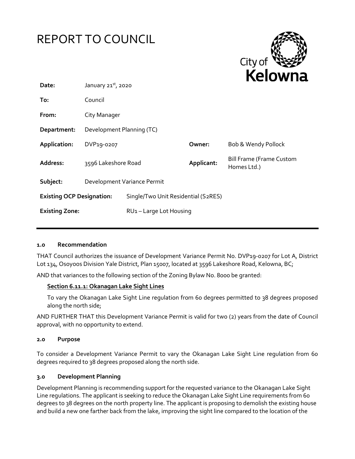



| Date:                            | January $21^{st}$ , 2020    |                                     | .          |                                                |
|----------------------------------|-----------------------------|-------------------------------------|------------|------------------------------------------------|
| To:                              | Council                     |                                     |            |                                                |
| From:                            | City Manager                |                                     |            |                                                |
| Department:                      | Development Planning (TC)   |                                     |            |                                                |
| Application:                     | DVP19-0207                  |                                     | Owner:     | Bob & Wendy Pollock                            |
| Address:                         | 3596 Lakeshore Road         |                                     | Applicant: | <b>Bill Frame (Frame Custom</b><br>Homes Ltd.) |
| Subject:                         | Development Variance Permit |                                     |            |                                                |
| <b>Existing OCP Designation:</b> |                             | Single/Two Unit Residential (S2RES) |            |                                                |
| <b>Existing Zone:</b>            |                             | RU1-Large Lot Housing               |            |                                                |

#### **1.0 Recommendation**

THAT Council authorizes the issuance of Development Variance Permit No. DVP19-0207 for Lot A, District Lot 134, Osoyoos Division Yale District, Plan 15007, located at 3596 Lakeshore Road, Kelowna, BC;

AND that variances to the following section of the Zoning Bylaw No. 8000 be granted:

#### **Section 6.11.1: Okanagan Lake Sight Lines**

To vary the Okanagan Lake Sight Line regulation from 60 degrees permitted to 38 degrees proposed along the north side;

AND FURTHER THAT this Development Variance Permit is valid for two (2) years from the date of Council approval, with no opportunity to extend.

#### **2.0 Purpose**

To consider a Development Variance Permit to vary the Okanagan Lake Sight Line regulation from 60 degrees required to 38 degrees proposed along the north side.

#### **3.0 Development Planning**

Development Planning is recommending support for the requested variance to the Okanagan Lake Sight Line regulations. The applicant is seeking to reduce the Okanagan Lake Sight Line requirements from 60 degrees to 38 degrees on the north property line. The applicant is proposing to demolish the existing house and build a new one farther back from the lake, improving the sight line compared to the location of the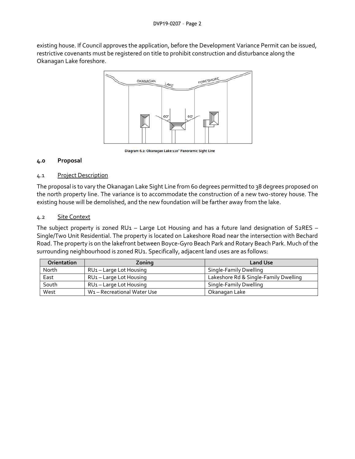existing house. If Council approves the application, before the Development Variance Permit can be issued, restrictive covenants must be registered on title to prohibit construction and disturbance along the Okanagan Lake foreshore.



Diagram 6.2: Okanagan Lake 120° Panoramic Sight Line

## **4.0 Proposal**

## 4.1 Project Description

The proposal is to vary the Okanagan Lake Sight Line from 60 degrees permitted to 38 degrees proposed on the north property line. The variance is to accommodate the construction of a new two-storey house. The existing house will be demolished, and the new foundation will be farther away from the lake.

## 4.2 Site Context

The subject property is zoned RU1 – Large Lot Housing and has a future land designation of S2RES – Single/Two Unit Residential. The property is located on Lakeshore Road near the intersection with Bechard Road. The property is on the lakefront between Boyce-Gyro Beach Park and Rotary Beach Park. Much of the surrounding neighbourhood is zoned RU1. Specifically, adjacent land uses are as follows:

| Orientation | Zoning                                  | <b>Land Use</b>                       |
|-------------|-----------------------------------------|---------------------------------------|
| North       | $RU1 - Large Lot Housing$               | Single-Family Dwelling                |
| East        | RU <sub>1</sub> – Large Lot Housing     | Lakeshore Rd & Single-Family Dwelling |
| South       | RU <sub>1</sub> – Large Lot Housing     | Single-Family Dwelling                |
| West        | W <sub>1</sub> - Recreational Water Use | Okanagan Lake                         |